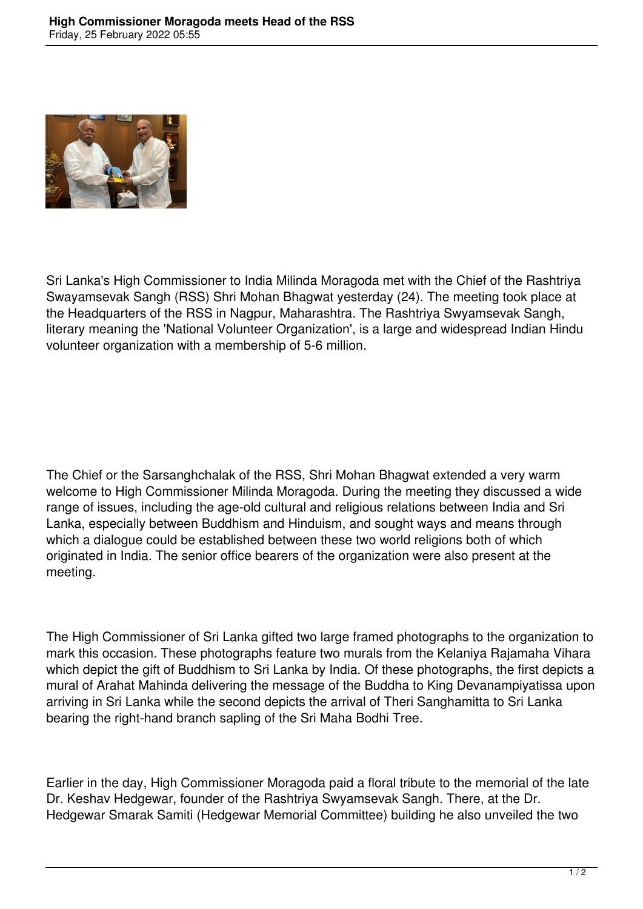

Sri Lanka's High Commissioner to India Milinda Moragoda met with the Chief of the Rashtriya Swayamsevak Sangh (RSS) Shri Mohan Bhagwat yesterday (24). The meeting took place at the Headquarters of the RSS in Nagpur, Maharashtra. The Rashtriya Swyamsevak Sangh, literary meaning the 'National Volunteer Organization', is a large and widespread Indian Hindu volunteer organization with a membership of 5-6 million.

The Chief or the Sarsanghchalak of the RSS, Shri Mohan Bhagwat extended a very warm welcome to High Commissioner Milinda Moragoda. During the meeting they discussed a wide range of issues, including the age-old cultural and religious relations between India and Sri Lanka, especially between Buddhism and Hinduism, and sought ways and means through which a dialogue could be established between these two world religions both of which originated in India. The senior office bearers of the organization were also present at the meeting.

The High Commissioner of Sri Lanka gifted two large framed photographs to the organization to mark this occasion. These photographs feature two murals from the Kelaniya Rajamaha Vihara which depict the gift of Buddhism to Sri Lanka by India. Of these photographs, the first depicts a mural of Arahat Mahinda delivering the message of the Buddha to King Devanampiyatissa upon arriving in Sri Lanka while the second depicts the arrival of Theri Sanghamitta to Sri Lanka bearing the right-hand branch sapling of the Sri Maha Bodhi Tree.

Earlier in the day, High Commissioner Moragoda paid a floral tribute to the memorial of the late Dr. Keshav Hedgewar, founder of the Rashtriya Swyamsevak Sangh. There, at the Dr. Hedgewar Smarak Samiti (Hedgewar Memorial Committee) building he also unveiled the two